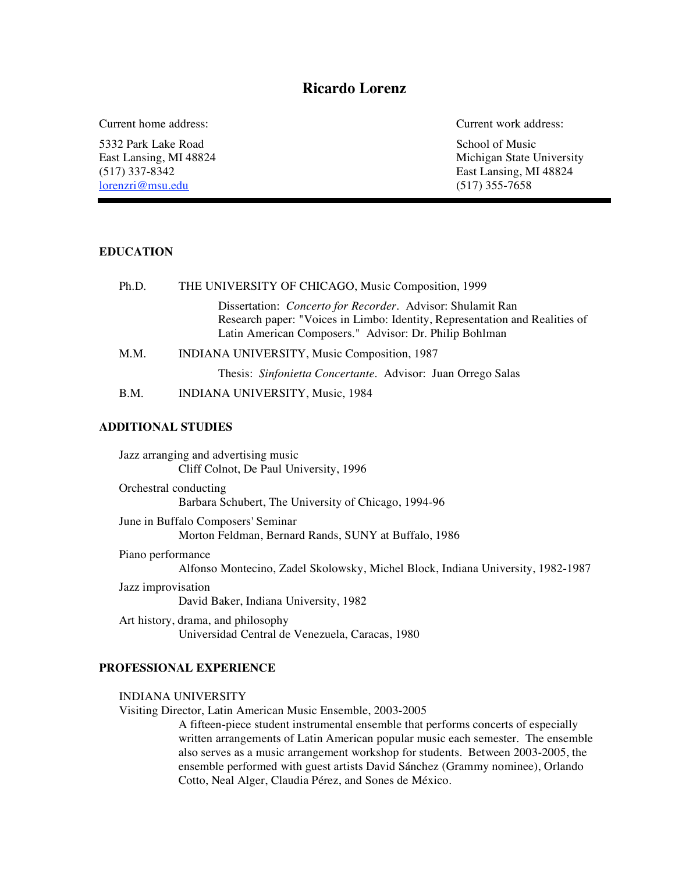# **Ricardo Lorenz**

5332 Park Lake Road School of Music (517) 337-8342<br>  $\frac{1}{\text{N}}$  East Lansing, MI 48824<br>  $\frac{1}{\text{N}}$  East Lansing, MI 48824 lorenzri@msu.edu

Current home address: Current work address:

East Lansing, MI 48824 Michigan State University

## **EDUCATION**

| Ph.D. | THE UNIVERSITY OF CHICAGO, Music Composition, 1999                                                                                                                                                          |
|-------|-------------------------------------------------------------------------------------------------------------------------------------------------------------------------------------------------------------|
|       | Dissertation: <i>Concerto for Recorder</i> . Advisor: Shulamit Ran<br>Research paper: "Voices in Limbo: Identity, Representation and Realities of<br>Latin American Composers." Advisor: Dr. Philip Bohlman |
| M.M.  | INDIANA UNIVERSITY, Music Composition, 1987                                                                                                                                                                 |
|       | Thesis: Sinfonietta Concertante. Advisor: Juan Orrego Salas                                                                                                                                                 |
| B.M.  | INDIANA UNIVERSITY, Music, 1984                                                                                                                                                                             |

## **ADDITIONAL STUDIES**

Jazz arranging and advertising music Cliff Colnot, De Paul University, 1996 Orchestral conducting Barbara Schubert, The University of Chicago, 1994-96 June in Buffalo Composers' Seminar Morton Feldman, Bernard Rands, SUNY at Buffalo, 1986 Piano performance Alfonso Montecino, Zadel Skolowsky, Michel Block, Indiana University, 1982-1987 Jazz improvisation David Baker, Indiana University, 1982

Art history, drama, and philosophy Universidad Central de Venezuela, Caracas, 1980

# **PROFESSIONAL EXPERIENCE**

#### INDIANA UNIVERSITY

Visiting Director, Latin American Music Ensemble, 2003-2005

A fifteen-piece student instrumental ensemble that performs concerts of especially written arrangements of Latin American popular music each semester. The ensemble also serves as a music arrangement workshop for students. Between 2003-2005, the ensemble performed with guest artists David Sánchez (Grammy nominee), Orlando Cotto, Neal Alger, Claudia Pérez, and Sones de México.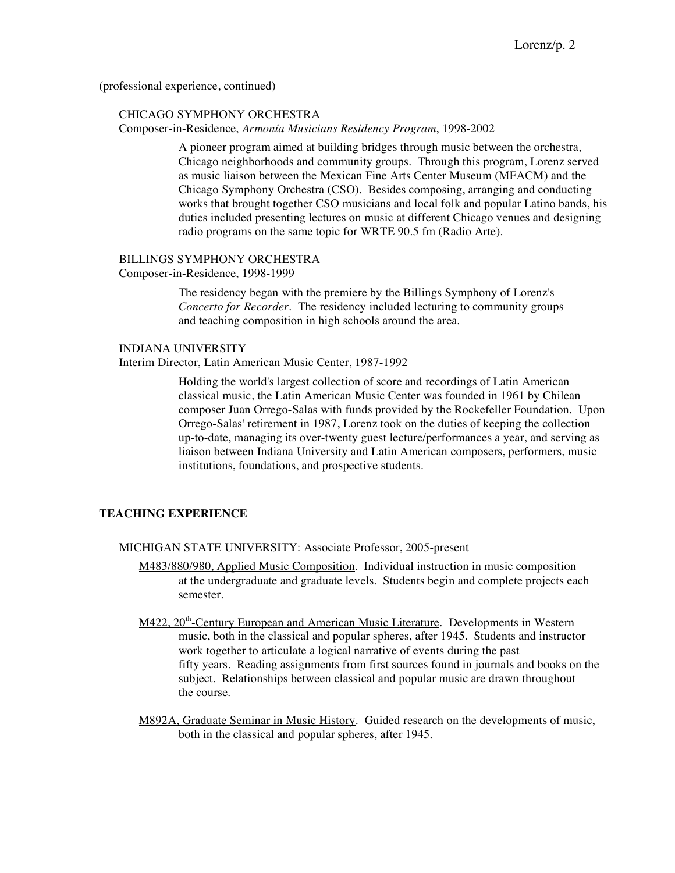(professional experience, continued)

#### CHICAGO SYMPHONY ORCHESTRA

Composer-in-Residence, *Armonía Musicians Residency Program*, 1998-2002

A pioneer program aimed at building bridges through music between the orchestra, Chicago neighborhoods and community groups. Through this program, Lorenz served as music liaison between the Mexican Fine Arts Center Museum (MFACM) and the Chicago Symphony Orchestra (CSO). Besides composing, arranging and conducting works that brought together CSO musicians and local folk and popular Latino bands, his duties included presenting lectures on music at different Chicago venues and designing radio programs on the same topic for WRTE 90.5 fm (Radio Arte).

#### BILLINGS SYMPHONY ORCHESTRA

Composer-in-Residence, 1998-1999

The residency began with the premiere by the Billings Symphony of Lorenz's *Concerto for Recorder*. The residency included lecturing to community groups and teaching composition in high schools around the area.

# INDIANA UNIVERSITY

Interim Director, Latin American Music Center, 1987-1992

Holding the world's largest collection of score and recordings of Latin American classical music, the Latin American Music Center was founded in 1961 by Chilean composer Juan Orrego-Salas with funds provided by the Rockefeller Foundation. Upon Orrego-Salas' retirement in 1987, Lorenz took on the duties of keeping the collection up-to-date, managing its over-twenty guest lecture/performances a year, and serving as liaison between Indiana University and Latin American composers, performers, music institutions, foundations, and prospective students.

# **TEACHING EXPERIENCE**

MICHIGAN STATE UNIVERSITY: Associate Professor, 2005-present

- M483/880/980, Applied Music Composition. Individual instruction in music composition at the undergraduate and graduate levels. Students begin and complete projects each semester.
- M422, 20<sup>th</sup>-Century European and American Music Literature. Developments in Western music, both in the classical and popular spheres, after 1945. Students and instructor work together to articulate a logical narrative of events during the past fifty years. Reading assignments from first sources found in journals and books on the subject. Relationships between classical and popular music are drawn throughout the course.
- M892A, Graduate Seminar in Music History. Guided research on the developments of music, both in the classical and popular spheres, after 1945.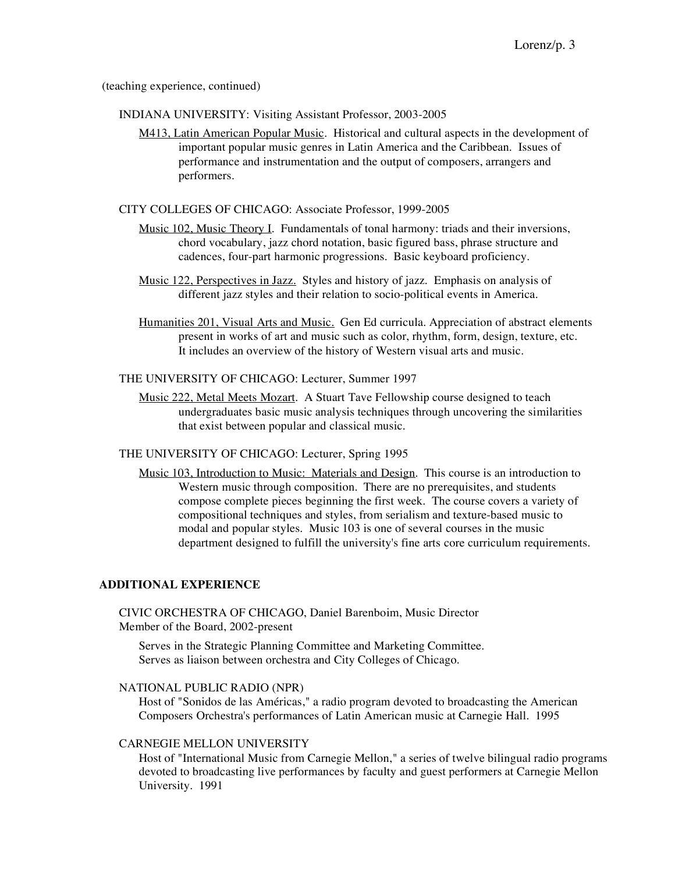(teaching experience, continued)

INDIANA UNIVERSITY: Visiting Assistant Professor, 2003-2005

M413, Latin American Popular Music. Historical and cultural aspects in the development of important popular music genres in Latin America and the Caribbean. Issues of performance and instrumentation and the output of composers, arrangers and performers.

CITY COLLEGES OF CHICAGO: Associate Professor, 1999-2005

- Music 102, Music Theory I. Fundamentals of tonal harmony: triads and their inversions, chord vocabulary, jazz chord notation, basic figured bass, phrase structure and cadences, four-part harmonic progressions. Basic keyboard proficiency.
- Music 122, Perspectives in Jazz. Styles and history of jazz. Emphasis on analysis of different jazz styles and their relation to socio-political events in America.
- Humanities 201, Visual Arts and Music. Gen Ed curricula. Appreciation of abstract elements present in works of art and music such as color, rhythm, form, design, texture, etc. It includes an overview of the history of Western visual arts and music.

THE UNIVERSITY OF CHICAGO: Lecturer, Summer 1997

Music 222, Metal Meets Mozart. A Stuart Tave Fellowship course designed to teach undergraduates basic music analysis techniques through uncovering the similarities that exist between popular and classical music.

# THE UNIVERSITY OF CHICAGO: Lecturer, Spring 1995

Music 103, Introduction to Music: Materials and Design. This course is an introduction to Western music through composition. There are no prerequisites, and students compose complete pieces beginning the first week. The course covers a variety of compositional techniques and styles, from serialism and texture-based music to modal and popular styles. Music 103 is one of several courses in the music department designed to fulfill the university's fine arts core curriculum requirements.

## **ADDITIONAL EXPERIENCE**

CIVIC ORCHESTRA OF CHICAGO, Daniel Barenboim, Music Director Member of the Board, 2002-present

Serves in the Strategic Planning Committee and Marketing Committee. Serves as liaison between orchestra and City Colleges of Chicago.

#### NATIONAL PUBLIC RADIO (NPR)

Host of "Sonidos de las Américas," a radio program devoted to broadcasting the American Composers Orchestra's performances of Latin American music at Carnegie Hall. 1995

#### CARNEGIE MELLON UNIVERSITY

Host of "International Music from Carnegie Mellon," a series of twelve bilingual radio programs devoted to broadcasting live performances by faculty and guest performers at Carnegie Mellon University. 1991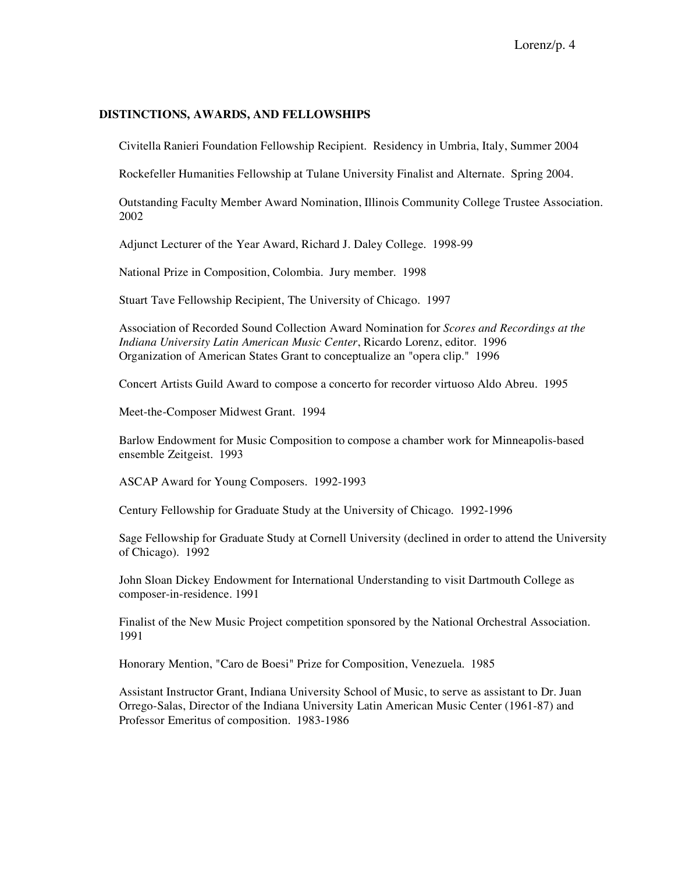#### **DISTINCTIONS, AWARDS, AND FELLOWSHIPS**

Civitella Ranieri Foundation Fellowship Recipient. Residency in Umbria, Italy, Summer 2004

Rockefeller Humanities Fellowship at Tulane University Finalist and Alternate. Spring 2004.

Outstanding Faculty Member Award Nomination, Illinois Community College Trustee Association. 2002

Adjunct Lecturer of the Year Award, Richard J. Daley College. 1998-99

National Prize in Composition, Colombia. Jury member. 1998

Stuart Tave Fellowship Recipient, The University of Chicago. 1997

Association of Recorded Sound Collection Award Nomination for *Scores and Recordings at the Indiana University Latin American Music Center*, Ricardo Lorenz, editor. 1996 Organization of American States Grant to conceptualize an "opera clip." 1996

Concert Artists Guild Award to compose a concerto for recorder virtuoso Aldo Abreu. 1995

Meet-the-Composer Midwest Grant. 1994

Barlow Endowment for Music Composition to compose a chamber work for Minneapolis-based ensemble Zeitgeist. 1993

ASCAP Award for Young Composers. 1992-1993

Century Fellowship for Graduate Study at the University of Chicago. 1992-1996

Sage Fellowship for Graduate Study at Cornell University (declined in order to attend the University of Chicago). 1992

John Sloan Dickey Endowment for International Understanding to visit Dartmouth College as composer-in-residence. 1991

Finalist of the New Music Project competition sponsored by the National Orchestral Association. 1991

Honorary Mention, "Caro de Boesi" Prize for Composition, Venezuela. 1985

Assistant Instructor Grant, Indiana University School of Music, to serve as assistant to Dr. Juan Orrego-Salas, Director of the Indiana University Latin American Music Center (1961-87) and Professor Emeritus of composition. 1983-1986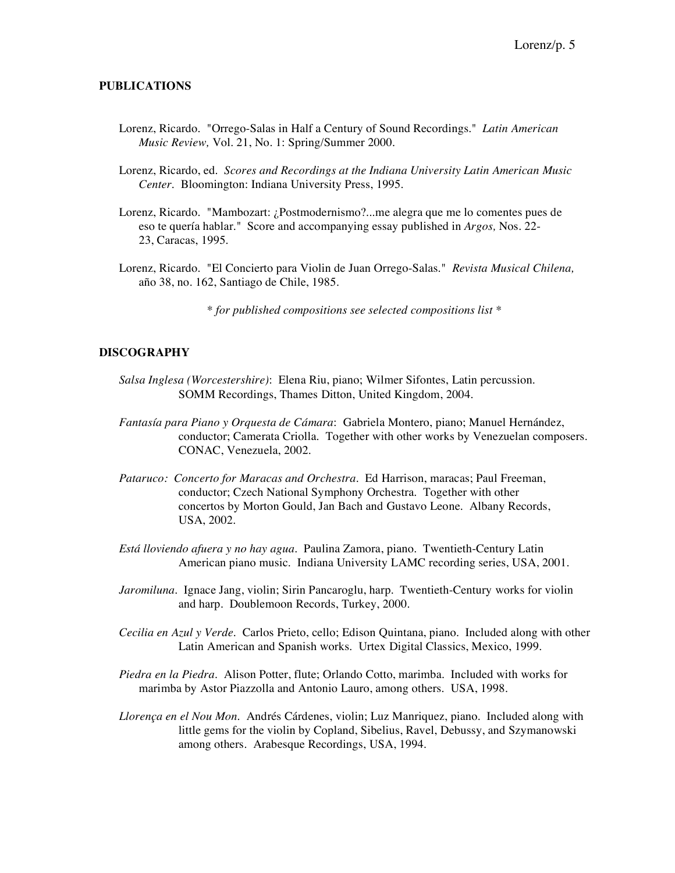### **PUBLICATIONS**

- Lorenz, Ricardo. "Orrego-Salas in Half a Century of Sound Recordings." *Latin American Music Review,* Vol. 21, No. 1: Spring/Summer 2000.
- Lorenz, Ricardo, ed. *Scores and Recordings at the Indiana University Latin American Music Center*. Bloomington: Indiana University Press, 1995.
- Lorenz, Ricardo. "Mambozart: ¿Postmodernismo?...me alegra que me lo comentes pues de eso te quería hablar." Score and accompanying essay published in *Argos,* Nos. 22- 23, Caracas, 1995.
- Lorenz, Ricardo. "El Concierto para Violin de Juan Orrego-Salas." *Revista Musical Chilena,* año 38, no. 162, Santiago de Chile, 1985.

*\* for published compositions see selected compositions list \**

#### **DISCOGRAPHY**

- *Salsa Inglesa (Worcestershire)*: Elena Riu, piano; Wilmer Sifontes, Latin percussion. SOMM Recordings, Thames Ditton, United Kingdom, 2004.
- *Fantasía para Piano y Orquesta de Cámara*: Gabriela Montero, piano; Manuel Hernández, conductor; Camerata Criolla. Together with other works by Venezuelan composers. CONAC, Venezuela, 2002.
- *Pataruco: Concerto for Maracas and Orchestra*. Ed Harrison, maracas; Paul Freeman, conductor; Czech National Symphony Orchestra. Together with other concertos by Morton Gould, Jan Bach and Gustavo Leone. Albany Records, USA, 2002.
- *Está lloviendo afuera y no hay agua.* Paulina Zamora, piano. Twentieth-Century Latin American piano music. Indiana University LAMC recording series, USA, 2001.
- *Jaromiluna.* Ignace Jang, violin; Sirin Pancaroglu, harp. Twentieth-Century works for violin and harp. Doublemoon Records, Turkey, 2000.
- *Cecilia en Azul y Verde*. Carlos Prieto, cello; Edison Quintana, piano. Included along with other Latin American and Spanish works. Urtex Digital Classics, Mexico, 1999.
- *Piedra en la Piedra*. Alison Potter, flute; Orlando Cotto, marimba. Included with works for marimba by Astor Piazzolla and Antonio Lauro, among others. USA, 1998.
- *Llorença en el Nou Mon*. Andrés Cárdenes, violin; Luz Manriquez, piano. Included along with little gems for the violin by Copland, Sibelius, Ravel, Debussy, and Szymanowski among others. Arabesque Recordings, USA, 1994.